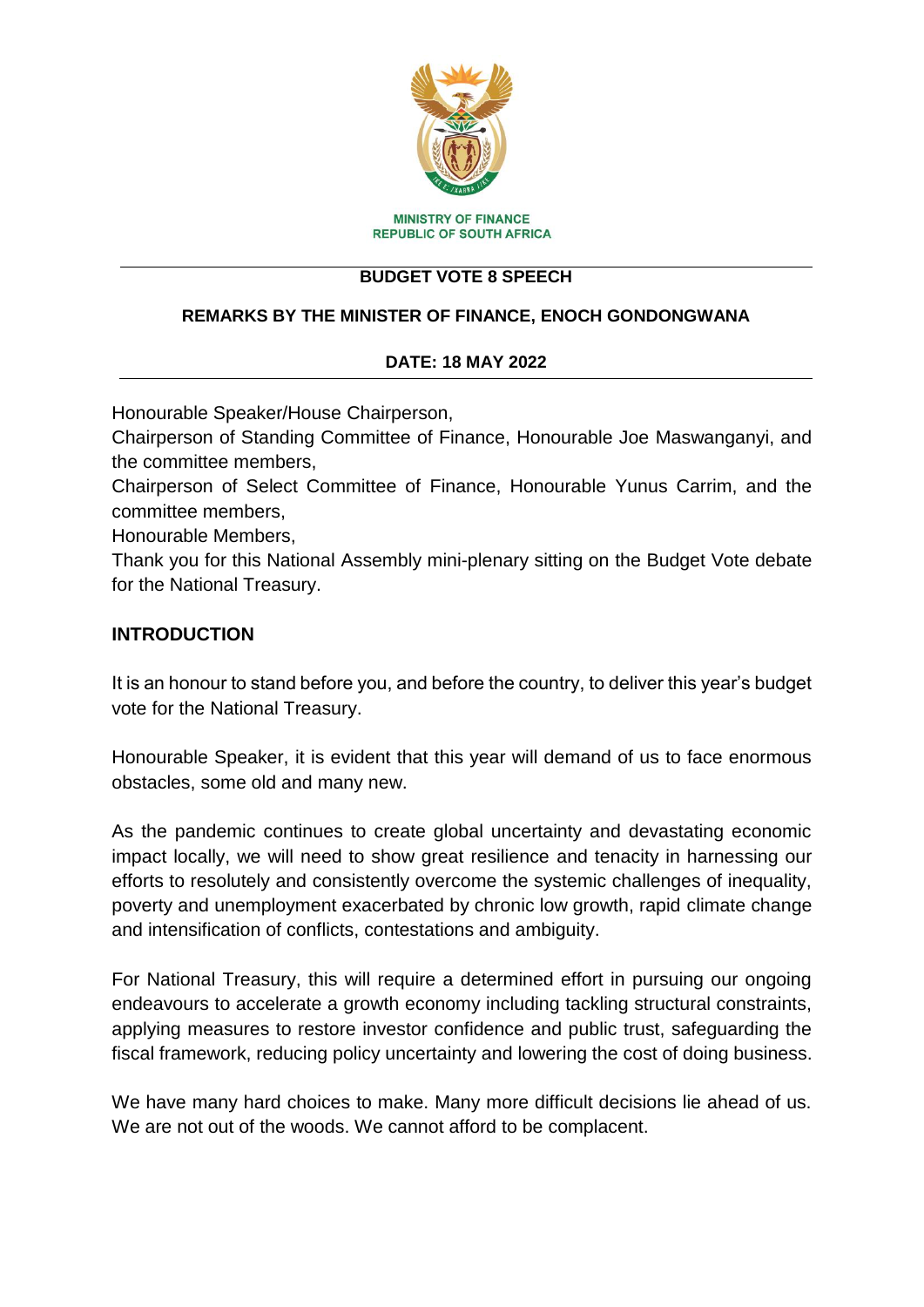

#### **BUDGET VOTE 8 SPEECH**

#### **REMARKS BY THE MINISTER OF FINANCE, ENOCH GONDONGWANA**

#### **DATE: 18 MAY 2022**

Honourable Speaker/House Chairperson,

Chairperson of Standing Committee of Finance, Honourable Joe Maswanganyi, and the committee members,

Chairperson of Select Committee of Finance, Honourable Yunus Carrim, and the committee members,

Honourable Members,

Thank you for this National Assembly mini-plenary sitting on the Budget Vote debate for the National Treasury.

#### **INTRODUCTION**

It is an honour to stand before you, and before the country, to deliver this year's budget vote for the National Treasury.

Honourable Speaker, it is evident that this year will demand of us to face enormous obstacles, some old and many new.

As the pandemic continues to create global uncertainty and devastating economic impact locally, we will need to show great resilience and tenacity in harnessing our efforts to resolutely and consistently overcome the systemic challenges of inequality, poverty and unemployment exacerbated by chronic low growth, rapid climate change and intensification of conflicts, contestations and ambiguity.

For National Treasury, this will require a determined effort in pursuing our ongoing endeavours to accelerate a growth economy including tackling structural constraints, applying measures to restore investor confidence and public trust, safeguarding the fiscal framework, reducing policy uncertainty and lowering the cost of doing business.

We have many hard choices to make. Many more difficult decisions lie ahead of us. We are not out of the woods. We cannot afford to be complacent.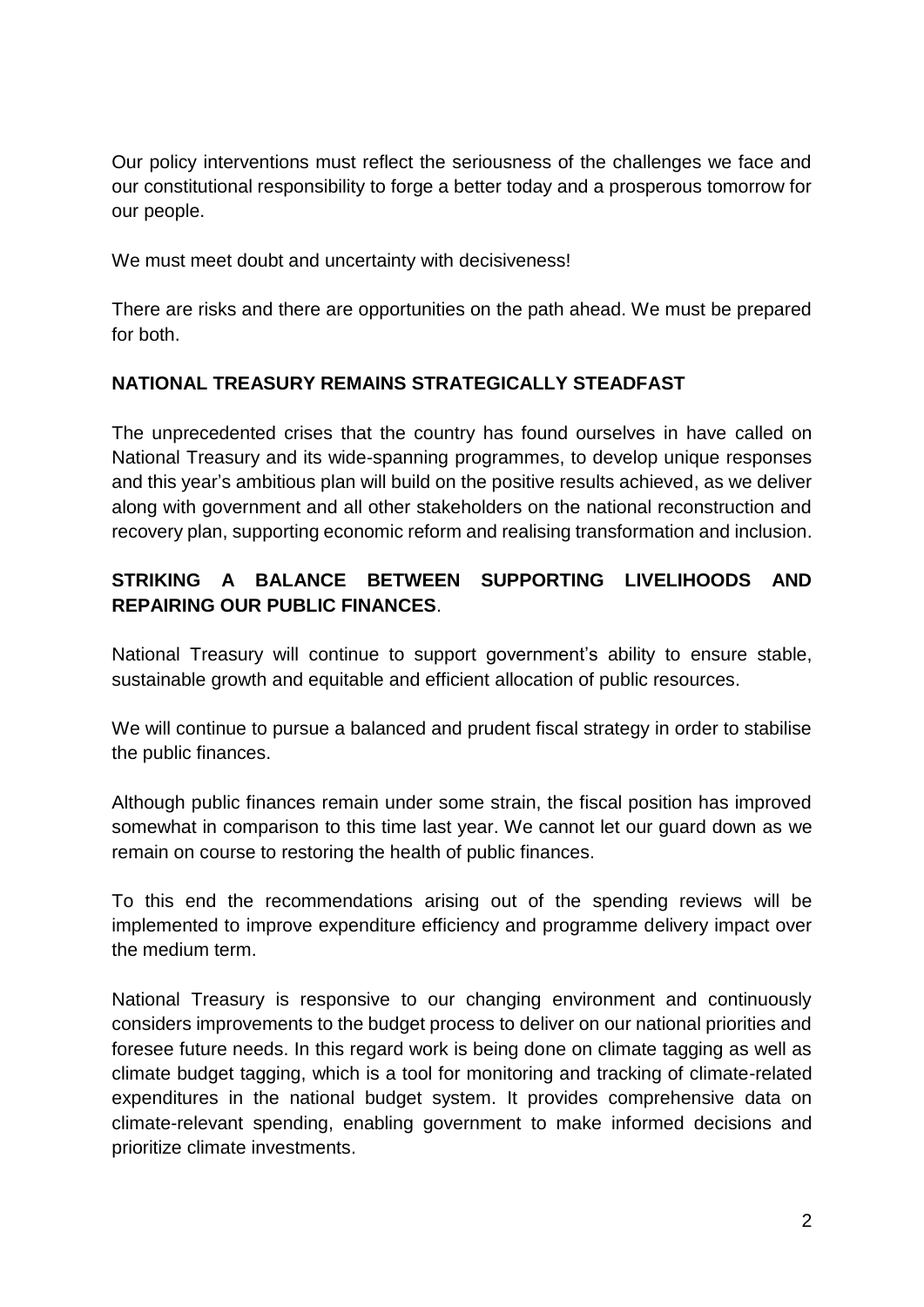Our policy interventions must reflect the seriousness of the challenges we face and our constitutional responsibility to forge a better today and a prosperous tomorrow for our people.

We must meet doubt and uncertainty with decisiveness!

There are risks and there are opportunities on the path ahead. We must be prepared for both.

### **NATIONAL TREASURY REMAINS STRATEGICALLY STEADFAST**

The unprecedented crises that the country has found ourselves in have called on National Treasury and its wide-spanning programmes, to develop unique responses and this year's ambitious plan will build on the positive results achieved, as we deliver along with government and all other stakeholders on the national reconstruction and recovery plan, supporting economic reform and realising transformation and inclusion.

# **STRIKING A BALANCE BETWEEN SUPPORTING LIVELIHOODS AND REPAIRING OUR PUBLIC FINANCES**.

National Treasury will continue to support government's ability to ensure stable, sustainable growth and equitable and efficient allocation of public resources.

We will continue to pursue a balanced and prudent fiscal strategy in order to stabilise the public finances.

Although public finances remain under some strain, the fiscal position has improved somewhat in comparison to this time last year. We cannot let our guard down as we remain on course to restoring the health of public finances.

To this end the recommendations arising out of the spending reviews will be implemented to improve expenditure efficiency and programme delivery impact over the medium term.

National Treasury is responsive to our changing environment and continuously considers improvements to the budget process to deliver on our national priorities and foresee future needs. In this regard work is being done on climate tagging as well as climate budget tagging, which is a tool for monitoring and tracking of climate-related expenditures in the national budget system. It provides comprehensive data on climate-relevant spending, enabling government to make informed decisions and prioritize climate investments.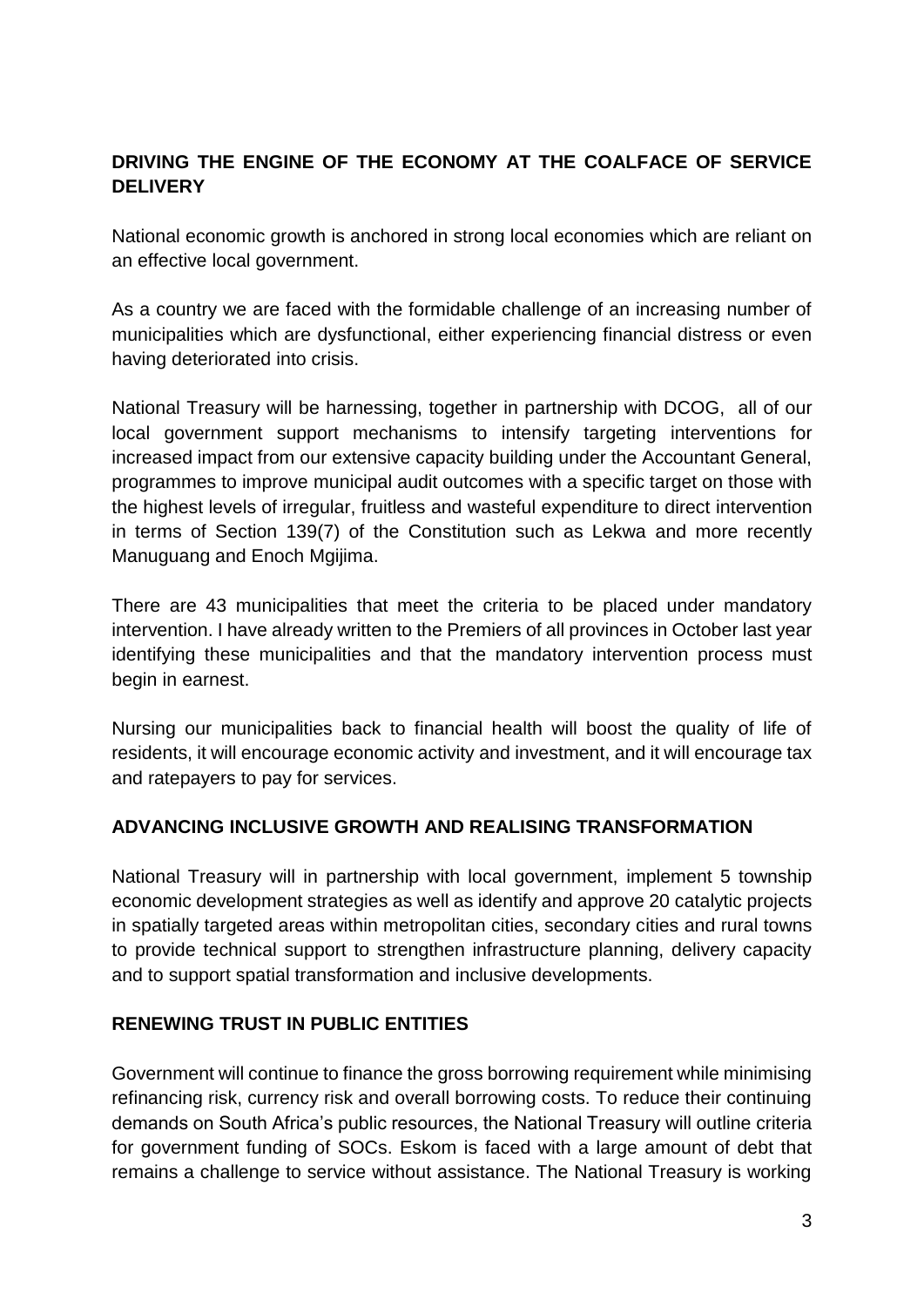# **DRIVING THE ENGINE OF THE ECONOMY AT THE COALFACE OF SERVICE DELIVERY**

National economic growth is anchored in strong local economies which are reliant on an effective local government.

As a country we are faced with the formidable challenge of an increasing number of municipalities which are dysfunctional, either experiencing financial distress or even having deteriorated into crisis.

National Treasury will be harnessing, together in partnership with DCOG, all of our local government support mechanisms to intensify targeting interventions for increased impact from our extensive capacity building under the Accountant General, programmes to improve municipal audit outcomes with a specific target on those with the highest levels of irregular, fruitless and wasteful expenditure to direct intervention in terms of Section 139(7) of the Constitution such as Lekwa and more recently Manuguang and Enoch Mgijima.

There are 43 municipalities that meet the criteria to be placed under mandatory intervention. I have already written to the Premiers of all provinces in October last year identifying these municipalities and that the mandatory intervention process must begin in earnest.

Nursing our municipalities back to financial health will boost the quality of life of residents, it will encourage economic activity and investment, and it will encourage tax and ratepayers to pay for services.

### **ADVANCING INCLUSIVE GROWTH AND REALISING TRANSFORMATION**

National Treasury will in partnership with local government, implement 5 township economic development strategies as well as identify and approve 20 catalytic projects in spatially targeted areas within metropolitan cities, secondary cities and rural towns to provide technical support to strengthen infrastructure planning, delivery capacity and to support spatial transformation and inclusive developments.

### **RENEWING TRUST IN PUBLIC ENTITIES**

Government will continue to finance the gross borrowing requirement while minimising refinancing risk, currency risk and overall borrowing costs. To reduce their continuing demands on South Africa's public resources, the National Treasury will outline criteria for government funding of SOCs. Eskom is faced with a large amount of debt that remains a challenge to service without assistance. The National Treasury is working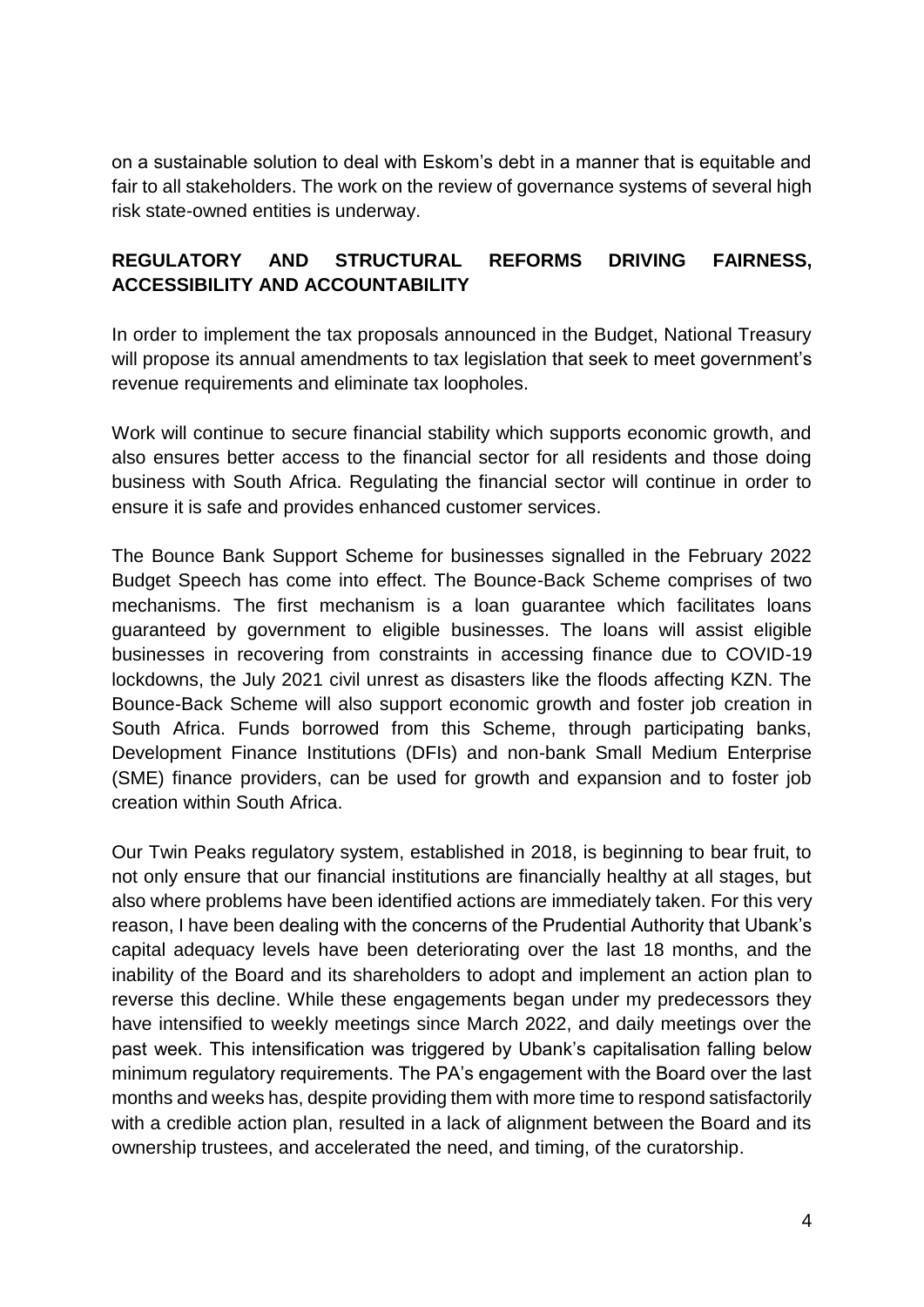on a sustainable solution to deal with Eskom's debt in a manner that is equitable and fair to all stakeholders. The work on the review of governance systems of several high risk state-owned entities is underway.

# **REGULATORY AND STRUCTURAL REFORMS DRIVING FAIRNESS, ACCESSIBILITY AND ACCOUNTABILITY**

In order to implement the tax proposals announced in the Budget, National Treasury will propose its annual amendments to tax legislation that seek to meet government's revenue requirements and eliminate tax loopholes.

Work will continue to secure financial stability which supports economic growth, and also ensures better access to the financial sector for all residents and those doing business with South Africa. Regulating the financial sector will continue in order to ensure it is safe and provides enhanced customer services.

The Bounce Bank Support Scheme for businesses signalled in the February 2022 Budget Speech has come into effect. The Bounce-Back Scheme comprises of two mechanisms. The first mechanism is a loan guarantee which facilitates loans guaranteed by government to eligible businesses. The loans will assist eligible businesses in recovering from constraints in accessing finance due to COVID-19 lockdowns, the July 2021 civil unrest as disasters like the floods affecting KZN. The Bounce-Back Scheme will also support economic growth and foster job creation in South Africa. Funds borrowed from this Scheme, through participating banks, Development Finance Institutions (DFIs) and non-bank Small Medium Enterprise (SME) finance providers, can be used for growth and expansion and to foster job creation within South Africa.

Our Twin Peaks regulatory system, established in 2018, is beginning to bear fruit, to not only ensure that our financial institutions are financially healthy at all stages, but also where problems have been identified actions are immediately taken. For this very reason, I have been dealing with the concerns of the Prudential Authority that Ubank's capital adequacy levels have been deteriorating over the last 18 months, and the inability of the Board and its shareholders to adopt and implement an action plan to reverse this decline. While these engagements began under my predecessors they have intensified to weekly meetings since March 2022, and daily meetings over the past week. This intensification was triggered by Ubank's capitalisation falling below minimum regulatory requirements. The PA's engagement with the Board over the last months and weeks has, despite providing them with more time to respond satisfactorily with a credible action plan, resulted in a lack of alignment between the Board and its ownership trustees, and accelerated the need, and timing, of the curatorship.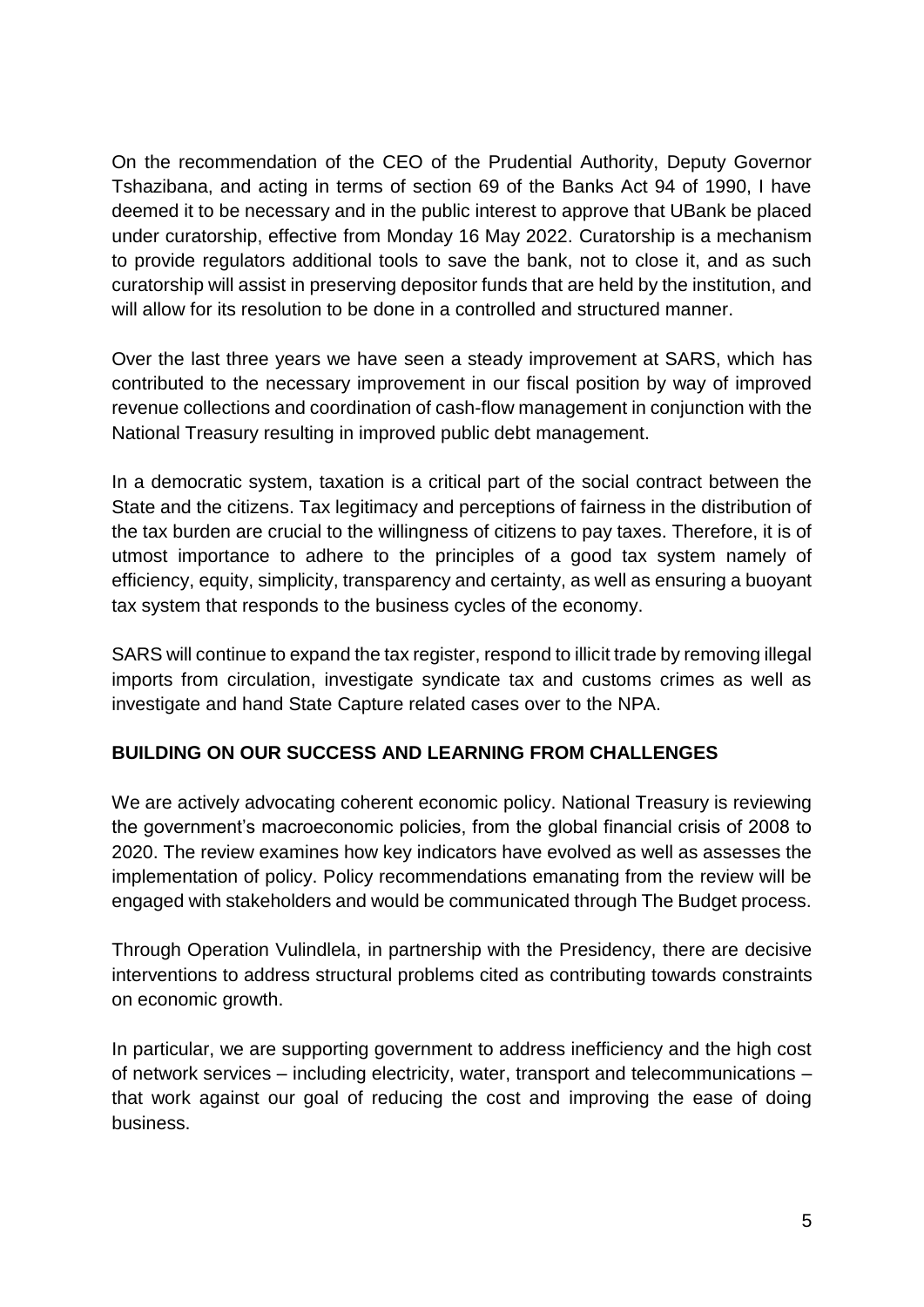On the recommendation of the CEO of the Prudential Authority, Deputy Governor Tshazibana, and acting in terms of section 69 of the Banks Act 94 of 1990, I have deemed it to be necessary and in the public interest to approve that UBank be placed under curatorship, effective from Monday 16 May 2022. Curatorship is a mechanism to provide regulators additional tools to save the bank, not to close it, and as such curatorship will assist in preserving depositor funds that are held by the institution, and will allow for its resolution to be done in a controlled and structured manner.

Over the last three years we have seen a steady improvement at SARS, which has contributed to the necessary improvement in our fiscal position by way of improved revenue collections and coordination of cash-flow management in conjunction with the National Treasury resulting in improved public debt management.

In a democratic system, taxation is a critical part of the social contract between the State and the citizens. Tax legitimacy and perceptions of fairness in the distribution of the tax burden are crucial to the willingness of citizens to pay taxes. Therefore, it is of utmost importance to adhere to the principles of a good tax system namely of efficiency, equity, simplicity, transparency and certainty, as well as ensuring a buoyant tax system that responds to the business cycles of the economy.

SARS will continue to expand the tax register, respond to illicit trade by removing illegal imports from circulation, investigate syndicate tax and customs crimes as well as investigate and hand State Capture related cases over to the NPA.

## **BUILDING ON OUR SUCCESS AND LEARNING FROM CHALLENGES**

We are actively advocating coherent economic policy. National Treasury is reviewing the government's macroeconomic policies, from the global financial crisis of 2008 to 2020. The review examines how key indicators have evolved as well as assesses the implementation of policy. Policy recommendations emanating from the review will be engaged with stakeholders and would be communicated through The Budget process.

Through Operation Vulindlela, in partnership with the Presidency, there are decisive interventions to address structural problems cited as contributing towards constraints on economic growth.

In particular, we are supporting government to address inefficiency and the high cost of network services – including electricity, water, transport and telecommunications – that work against our goal of reducing the cost and improving the ease of doing business.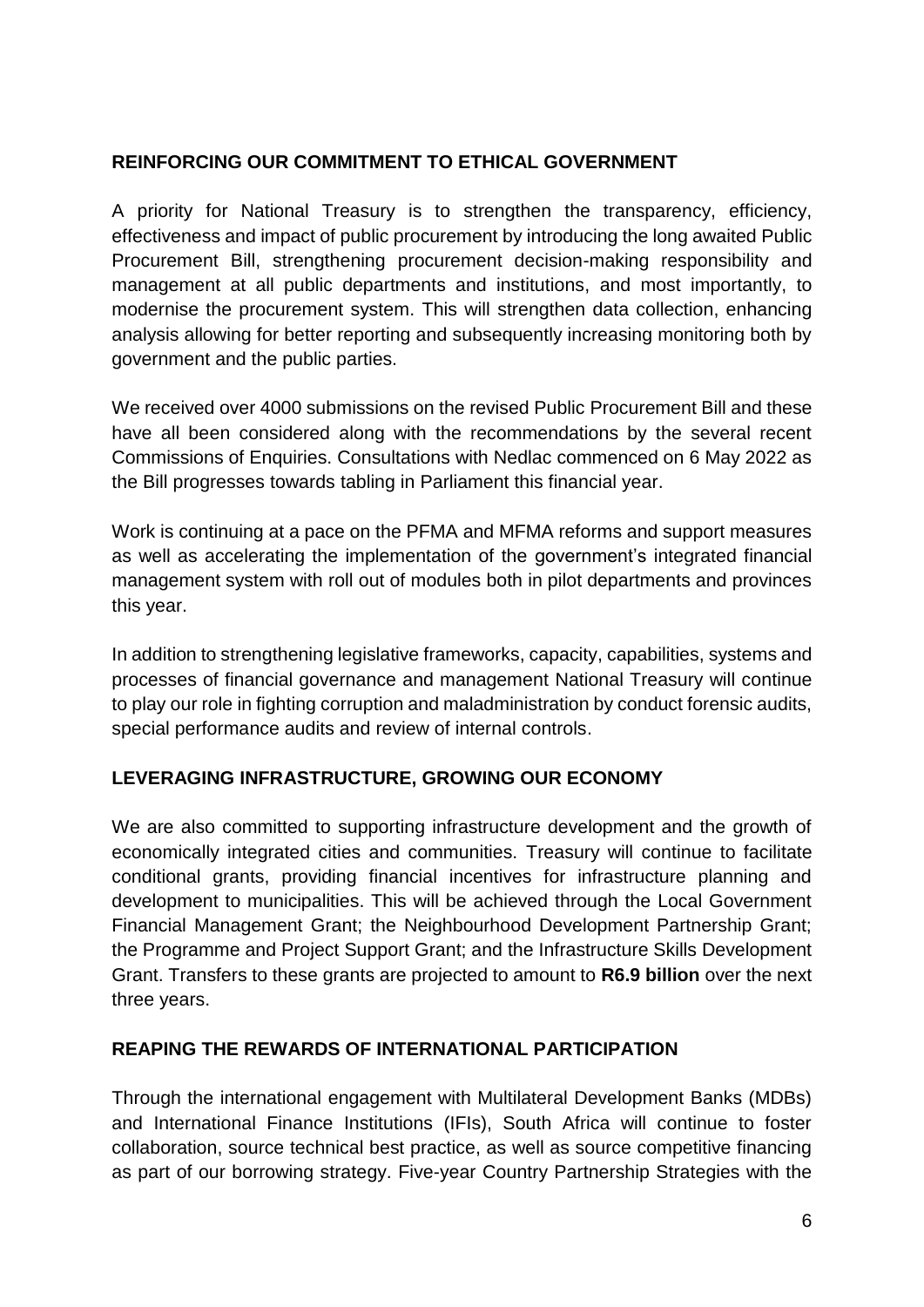### **REINFORCING OUR COMMITMENT TO ETHICAL GOVERNMENT**

A priority for National Treasury is to strengthen the transparency, efficiency, effectiveness and impact of public procurement by introducing the long awaited Public Procurement Bill, strengthening procurement decision-making responsibility and management at all public departments and institutions, and most importantly, to modernise the procurement system. This will strengthen data collection, enhancing analysis allowing for better reporting and subsequently increasing monitoring both by government and the public parties.

We received over 4000 submissions on the revised Public Procurement Bill and these have all been considered along with the recommendations by the several recent Commissions of Enquiries. Consultations with Nedlac commenced on 6 May 2022 as the Bill progresses towards tabling in Parliament this financial year.

Work is continuing at a pace on the PFMA and MFMA reforms and support measures as well as accelerating the implementation of the government's integrated financial management system with roll out of modules both in pilot departments and provinces this year.

In addition to strengthening legislative frameworks, capacity, capabilities, systems and processes of financial governance and management National Treasury will continue to play our role in fighting corruption and maladministration by conduct forensic audits, special performance audits and review of internal controls.

### **LEVERAGING INFRASTRUCTURE, GROWING OUR ECONOMY**

We are also committed to supporting infrastructure development and the growth of economically integrated cities and communities. Treasury will continue to facilitate conditional grants, providing financial incentives for infrastructure planning and development to municipalities. This will be achieved through the Local Government Financial Management Grant; the Neighbourhood Development Partnership Grant; the Programme and Project Support Grant; and the Infrastructure Skills Development Grant. Transfers to these grants are projected to amount to **R6.9 billion** over the next three years.

### **REAPING THE REWARDS OF INTERNATIONAL PARTICIPATION**

Through the international engagement with Multilateral Development Banks (MDBs) and International Finance Institutions (IFIs), South Africa will continue to foster collaboration, source technical best practice, as well as source competitive financing as part of our borrowing strategy. Five-year Country Partnership Strategies with the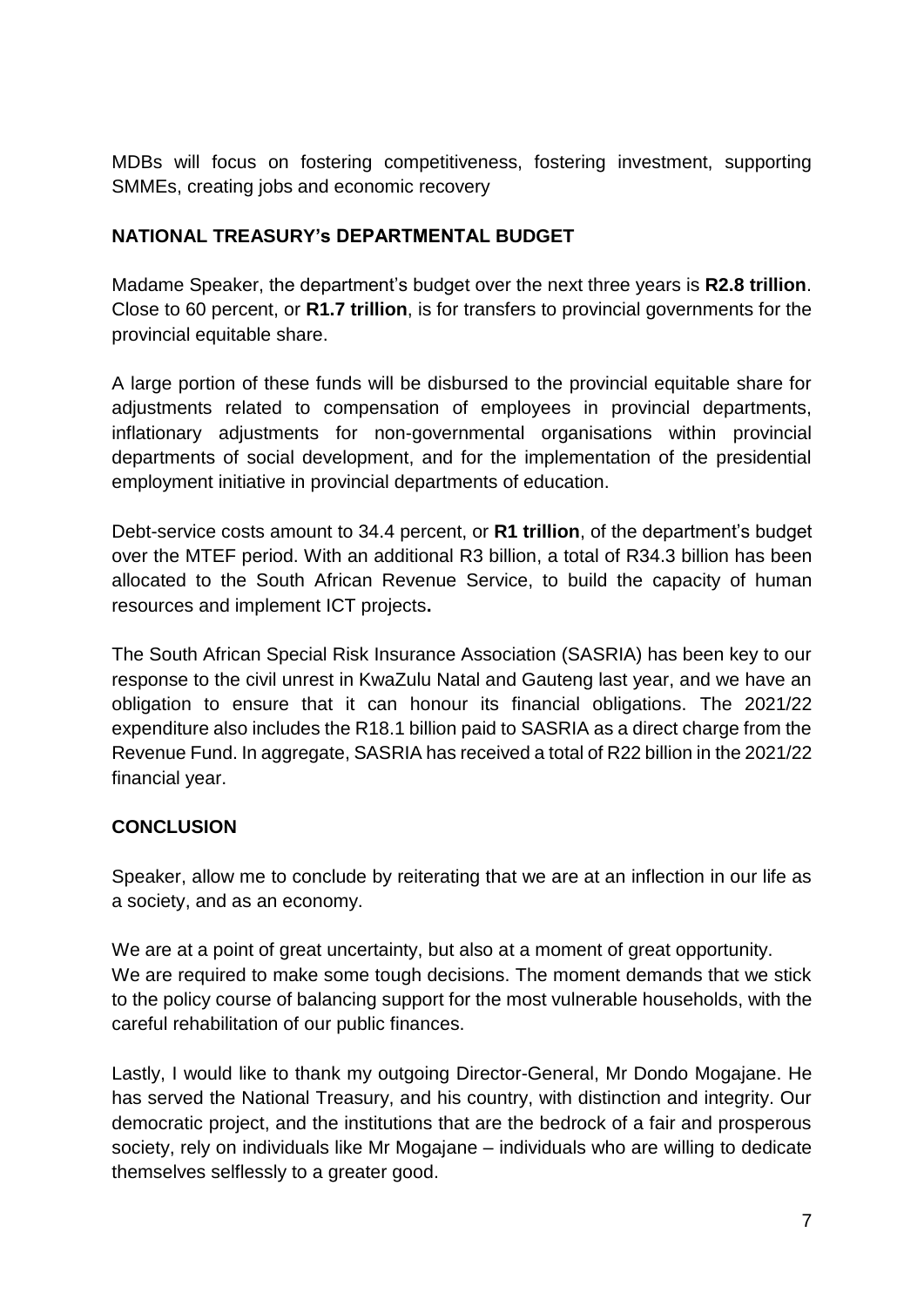MDBs will focus on fostering competitiveness, fostering investment, supporting SMMEs, creating jobs and economic recovery

## **NATIONAL TREASURY's DEPARTMENTAL BUDGET**

Madame Speaker, the department's budget over the next three years is **R2.8 trillion**. Close to 60 percent, or **R1.7 trillion**, is for transfers to provincial governments for the provincial equitable share.

A large portion of these funds will be disbursed to the provincial equitable share for adjustments related to compensation of employees in provincial departments, inflationary adjustments for non-governmental organisations within provincial departments of social development, and for the implementation of the presidential employment initiative in provincial departments of education.

Debt-service costs amount to 34.4 percent, or **R1 trillion**, of the department's budget over the MTEF period. With an additional R3 billion, a total of R34.3 billion has been allocated to the South African Revenue Service, to build the capacity of human resources and implement ICT projects**.** 

The South African Special Risk Insurance Association (SASRIA) has been key to our response to the civil unrest in KwaZulu Natal and Gauteng last year, and we have an obligation to ensure that it can honour its financial obligations. The 2021/22 expenditure also includes the R18.1 billion paid to SASRIA as a direct charge from the Revenue Fund. In aggregate, SASRIA has received a total of R22 billion in the 2021/22 financial year.

## **CONCLUSION**

Speaker, allow me to conclude by reiterating that we are at an inflection in our life as a society, and as an economy.

We are at a point of great uncertainty, but also at a moment of great opportunity. We are required to make some tough decisions. The moment demands that we stick to the policy course of balancing support for the most vulnerable households, with the careful rehabilitation of our public finances.

Lastly, I would like to thank my outgoing Director-General, Mr Dondo Mogajane. He has served the National Treasury, and his country, with distinction and integrity. Our democratic project, and the institutions that are the bedrock of a fair and prosperous society, rely on individuals like Mr Mogajane – individuals who are willing to dedicate themselves selflessly to a greater good.